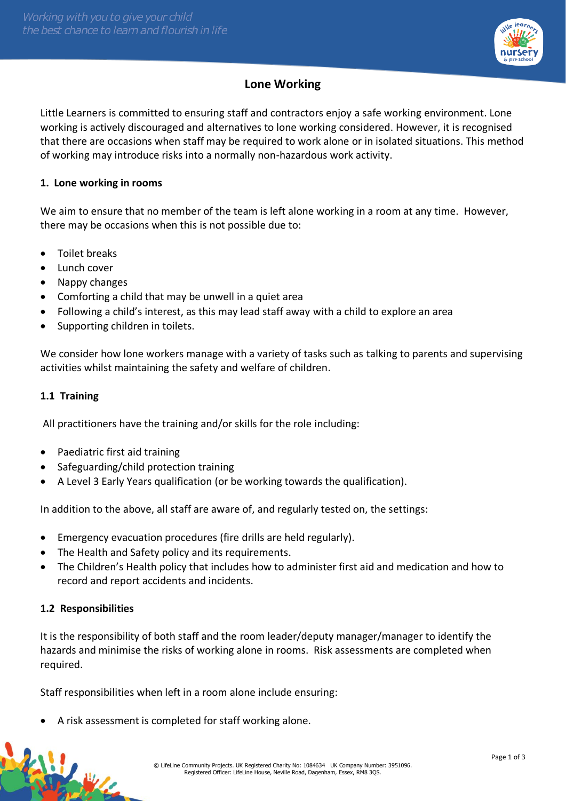

# **Lone Working**

Little Learners is committed to ensuring staff and contractors enjoy a safe working environment. Lone working is actively discouraged and alternatives to lone working considered. However, it is recognised that there are occasions when staff may be required to work alone or in isolated situations. This method of working may introduce risks into a normally non-hazardous work activity.

# **1. Lone working in rooms**

We aim to ensure that no member of the team is left alone working in a room at any time. However, there may be occasions when this is not possible due to:

- Toilet breaks
- Lunch cover
- Nappy changes
- Comforting a child that may be unwell in a quiet area
- Following a child's interest, as this may lead staff away with a child to explore an area
- Supporting children in toilets.

We consider how lone workers manage with a variety of tasks such as talking to parents and supervising activities whilst maintaining the safety and welfare of children.

#### **1.1 Training**

All practitioners have the training and/or skills for the role including:

- Paediatric first aid training
- Safeguarding/child protection training
- A Level 3 Early Years qualification (or be working towards the qualification).

In addition to the above, all staff are aware of, and regularly tested on, the settings:

- Emergency evacuation procedures (fire drills are held regularly).
- The Health and Safety policy and its requirements.
- The Children's Health policy that includes how to administer first aid and medication and how to record and report accidents and incidents.

# **1.2 Responsibilities**

N.

It is the responsibility of both staff and the room leader/deputy manager/manager to identify the hazards and minimise the risks of working alone in rooms. Risk assessments are completed when required.

Staff responsibilities when left in a room alone include ensuring:

• A risk assessment is completed for staff working alone.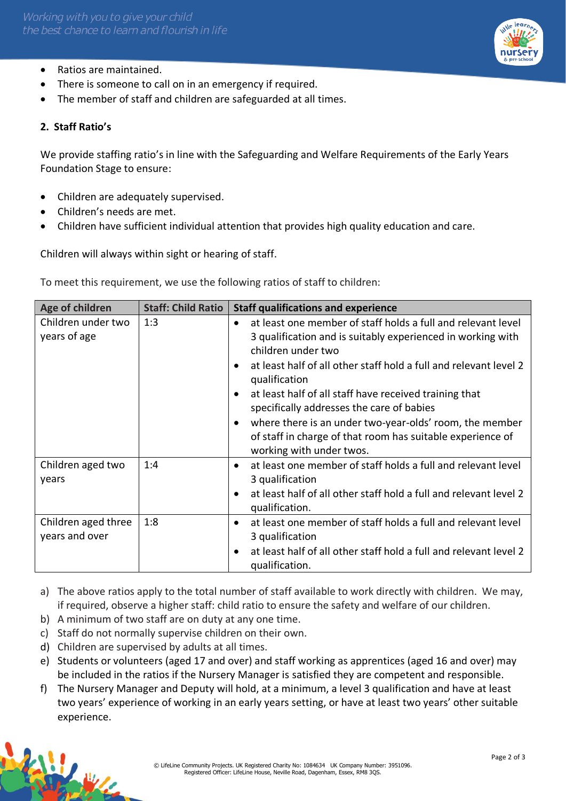

- Ratios are maintained.
- There is someone to call on in an emergency if required.
- The member of staff and children are safeguarded at all times.

# **2. Staff Ratio's**

We provide staffing ratio's in line with the Safeguarding and Welfare Requirements of the Early Years Foundation Stage to ensure:

- Children are adequately supervised.
- Children's needs are met.
- Children have sufficient individual attention that provides high quality education and care.

Children will always within sight or hearing of staff.

To meet this requirement, we use the following ratios of staff to children:

| Age of children                       | <b>Staff: Child Ratio</b> | <b>Staff qualifications and experience</b>                                                                                                                                                                                                                                                                                                                                                                                                                                                                                                              |  |  |
|---------------------------------------|---------------------------|---------------------------------------------------------------------------------------------------------------------------------------------------------------------------------------------------------------------------------------------------------------------------------------------------------------------------------------------------------------------------------------------------------------------------------------------------------------------------------------------------------------------------------------------------------|--|--|
| Children under two<br>years of age    | 1:3                       | at least one member of staff holds a full and relevant level<br>$\bullet$<br>3 qualification and is suitably experienced in working with<br>children under two<br>at least half of all other staff hold a full and relevant level 2<br>$\bullet$<br>qualification<br>at least half of all staff have received training that<br>$\bullet$<br>specifically addresses the care of babies<br>where there is an under two-year-olds' room, the member<br>$\bullet$<br>of staff in charge of that room has suitable experience of<br>working with under twos. |  |  |
| Children aged two<br>years            | 1:4                       | at least one member of staff holds a full and relevant level<br>$\bullet$<br>3 qualification<br>at least half of all other staff hold a full and relevant level 2<br>$\bullet$<br>qualification.                                                                                                                                                                                                                                                                                                                                                        |  |  |
| Children aged three<br>years and over | 1:8                       | at least one member of staff holds a full and relevant level<br>$\bullet$<br>3 qualification<br>at least half of all other staff hold a full and relevant level 2<br>$\bullet$<br>qualification.                                                                                                                                                                                                                                                                                                                                                        |  |  |

- a) The above ratios apply to the total number of staff available to work directly with children. We may, if required, observe a higher staff: child ratio to ensure the safety and welfare of our children.
- b) A minimum of two staff are on duty at any one time.
- c) Staff do not normally supervise children on their own.
- d) Children are supervised by adults at all times.
- e) Students or volunteers (aged 17 and over) and staff working as apprentices (aged 16 and over) may be included in the ratios if the Nursery Manager is satisfied they are competent and responsible.
- f) The Nursery Manager and Deputy will hold, at a minimum, a level 3 qualification and have at least two years' experience of working in an early years setting, or have at least two years' other suitable experience.